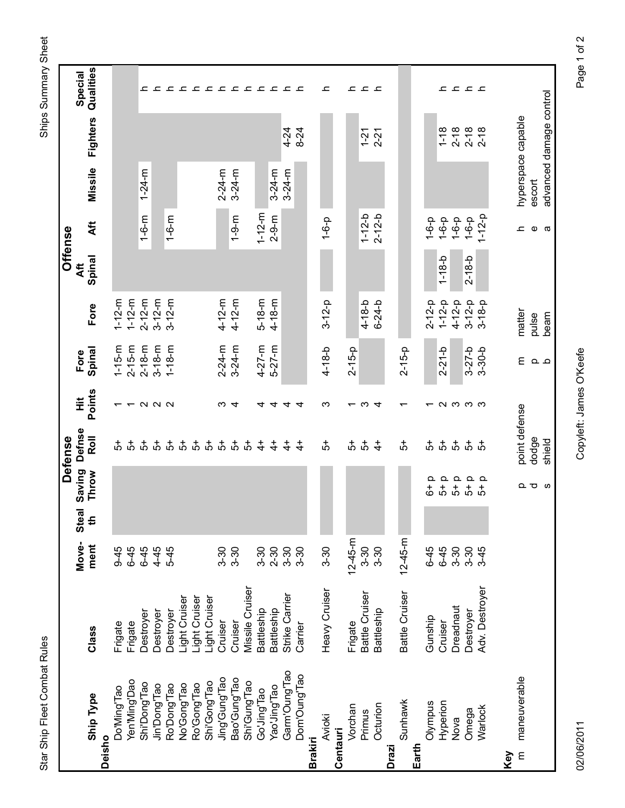Ships Summary Sheet

| $22222$<br>- - - - - - - - -<br>그 그<br>그 그 그 그<br>ᅩ<br>ᅩ<br>ᅩ<br>advanced damage control<br>hyperspace capable<br>Fighters<br>$2 - 18$<br>$2 - 18$<br>$1 - 18$<br>$2 - 18$<br>$4 - 24$<br>$8 - 24$<br>$2 - 21$<br>$1 - 21$<br>Missile<br>$1 - 24 - m$<br>$2 - 24 - m$<br>$3 - 24 - m$<br>$3 - 24 - m$<br>$3 - 24 - m$<br>escort<br>$1 - 12 - m$<br>$1 - 6 - m$<br>$1 - 12 - b$<br>$2 - 12 - b$<br>$1 - 12 - p$<br>$1 - 9 - m$<br>$2 - 9 - m$<br>$1 - 6 - m$<br>$1 - 6 - p$<br>$1 - 6 - p$<br>$1 - 6 - p$<br>$1 - 6 - p$<br>$1 - 6 - p$<br>Áft<br>Ф<br>c<br>a<br>Spinal<br>$1 - 18 - b$<br>$2 - 18 - b$<br>$4 - 12 - m$<br>$4 - 12 - m$<br>$1 - 12 - m$<br>$3 - 12 - m$<br>$5 - 18 - m$<br>$4 - 18 - m$<br>$1 - 12 - m$<br>$2 - 12 - m$<br>$3 - 12 - m$<br>$3 - 12 - p$<br>$3 - 12 - p$<br>$1 - 12 - p$<br>$4 - 18 - b$<br>$6 - 24 - b$<br>$4 - 12 - p$<br>$3 - 18 - p$<br>$2 - 12 - p$<br>Fore<br>matter<br>pulse<br>beam<br>$2 - 24 - m$<br>$4 - 27 - m$<br>$5 - 27 - m$<br>$3 - 24 - m$<br>$1 - 15 - m$<br>$2 - 15 - m$<br>$2 - 18 - m$<br>$3 - 18 - m$<br>$1 - 18 - m$<br>Spinal<br>$4 - 18 - b$<br>$2 - 15 - p$<br>$3 - 27 - b$<br>$2 - 15 - p$<br>$2 - 21 - b$<br>$3 - 30 - b$<br>Ε<br>م ہ<br>Points<br>$ \alpha$ $\alpha$<br>ო<br>ო<br>ຕຕຕຕ<br>4<br>ო<br>4<br>$\overline{\phantom{0}}$<br>4<br>4<br>4<br>4<br>$\overline{\phantom{0}}$<br>٣<br>↽<br>point defense<br>Roll<br>dodge<br>shield<br>$\vec{5}$<br>$\vec{5}$<br>$\frac{4}{5}$<br>$\frac{4}{5}$<br>$\vec{5}$<br>$\vec{5}$<br>ㅎㅎ<br>$\vec{5}$<br>5<br>5<br>5<br>5<br>5<br>5<br>$\ddot{+}$<br>$\ddot{+}$<br>$\ddot{+}$<br>$\ddot{+}$<br>ѽ<br>$\ddot{+}$<br>ѽ<br>ф<br><u>ය්</u><br>5<br>Throw<br>$\mathbf{a}$<br>$\mathtt{\Omega}$<br>$\mathtt{\Omega}$<br>Q<br>$\Omega$<br>$\overline{5}$<br>$\vec{5}$<br>$\vec{5}$<br>$\vec{6}$<br>ΩU<br>ဖ<br>$\vec{5}$<br>€<br>$12 - 45 - m$<br>$12 - 45 - m$<br>ment<br>$3-30$<br>$3 - 30$<br>$6 - 45$<br>$6-45$<br>$6-45$<br>$9 - 45$<br>$4 - 45$<br>$5-45$<br>$3-30$<br>$6-45$<br>$3 - 30$<br>$3 - 30$<br>$3 - 30$<br>$3-30$<br>$3 - 30$<br>$2 - 30$<br>$3-30$<br>$3-30$<br>$3-45$<br>Adv. Destroyer<br>Missile Cruiser<br>Heavy Cruiser<br>Battle Cruiser<br>Battle Cruiser<br>Strike Carrier<br>Light Cruiser<br>Light Cruiser<br>Light Cruiser<br>Dreadnaut<br>Battleship<br>Battleship<br>Battleship<br>Destroyer<br>Destroyer<br>Destroyer<br>Destroyer<br>Gunship<br>Cruiser<br>Cruiser<br>Cruiser<br>Frigate<br>Frigate<br>Frigate<br>Carrier<br>Class<br>Garm'Oung'Tao<br>Dom'Oung'Tao<br>maneuverable<br>Jing'Gung'Tao<br>Bao'Gung'Tao<br>Yen'Ming'Dao<br>Shi'Gong'Tao<br>Shi'Gung'Tao<br>Shi'Dong'Tao<br>Ro'Dong'Tao<br>No'Gong'Tao<br>Ro'Gong'Tao<br>Jin'Dong'Tao<br>Yao'Jing'Tao<br>Do'Ming'Tao<br>Go'Uilug'Tao<br><b>Ship Type</b><br>Sunhawk<br>Hyperion<br>Olympus<br>Octurion<br>Vorchan<br>Warlock<br>Omega<br>Primus<br><b>Avioki</b><br>Nova<br>Centauri<br>Deisho<br><b>Brakiri</b><br>Drazi<br>E |  |       |              |        | <b>Defense</b> |   |      | <b>Offense</b> |  |           |
|-------------------------------------------------------------------------------------------------------------------------------------------------------------------------------------------------------------------------------------------------------------------------------------------------------------------------------------------------------------------------------------------------------------------------------------------------------------------------------------------------------------------------------------------------------------------------------------------------------------------------------------------------------------------------------------------------------------------------------------------------------------------------------------------------------------------------------------------------------------------------------------------------------------------------------------------------------------------------------------------------------------------------------------------------------------------------------------------------------------------------------------------------------------------------------------------------------------------------------------------------------------------------------------------------------------------------------------------------------------------------------------------------------------------------------------------------------------------------------------------------------------------------------------------------------------------------------------------------------------------------------------------------------------------------------------------------------------------------------------------------------------------------------------------------------------------------------------------------------------------------------------------------------------------------------------------------------------------------------------------------------------------------------------------------------------------------------------------------------------------------------------------------------------------------------------------------------------------------------------------------------------------------------------------------------------------------------------------------------------------------------------------------------------------------------------------------------------------------------------------------------------------------------------------------------------------------------------------------------------------------------------------------------------------------------------------------------------------------------------------------------------------------------------------------------------------------------------------------------------------------------------------------------------------------|--|-------|--------------|--------|----------------|---|------|----------------|--|-----------|
| Earth<br>Key                                                                                                                                                                                                                                                                                                                                                                                                                                                                                                                                                                                                                                                                                                                                                                                                                                                                                                                                                                                                                                                                                                                                                                                                                                                                                                                                                                                                                                                                                                                                                                                                                                                                                                                                                                                                                                                                                                                                                                                                                                                                                                                                                                                                                                                                                                                                                                                                                                                                                                                                                                                                                                                                                                                                                                                                                                                                                                            |  | Move- | <b>Steal</b> | Saving | Defnse         | Ï | Fore | Aft            |  | Special   |
|                                                                                                                                                                                                                                                                                                                                                                                                                                                                                                                                                                                                                                                                                                                                                                                                                                                                                                                                                                                                                                                                                                                                                                                                                                                                                                                                                                                                                                                                                                                                                                                                                                                                                                                                                                                                                                                                                                                                                                                                                                                                                                                                                                                                                                                                                                                                                                                                                                                                                                                                                                                                                                                                                                                                                                                                                                                                                                                         |  |       |              |        |                |   |      |                |  | Qualities |
|                                                                                                                                                                                                                                                                                                                                                                                                                                                                                                                                                                                                                                                                                                                                                                                                                                                                                                                                                                                                                                                                                                                                                                                                                                                                                                                                                                                                                                                                                                                                                                                                                                                                                                                                                                                                                                                                                                                                                                                                                                                                                                                                                                                                                                                                                                                                                                                                                                                                                                                                                                                                                                                                                                                                                                                                                                                                                                                         |  |       |              |        |                |   |      |                |  |           |
|                                                                                                                                                                                                                                                                                                                                                                                                                                                                                                                                                                                                                                                                                                                                                                                                                                                                                                                                                                                                                                                                                                                                                                                                                                                                                                                                                                                                                                                                                                                                                                                                                                                                                                                                                                                                                                                                                                                                                                                                                                                                                                                                                                                                                                                                                                                                                                                                                                                                                                                                                                                                                                                                                                                                                                                                                                                                                                                         |  |       |              |        |                |   |      |                |  |           |
|                                                                                                                                                                                                                                                                                                                                                                                                                                                                                                                                                                                                                                                                                                                                                                                                                                                                                                                                                                                                                                                                                                                                                                                                                                                                                                                                                                                                                                                                                                                                                                                                                                                                                                                                                                                                                                                                                                                                                                                                                                                                                                                                                                                                                                                                                                                                                                                                                                                                                                                                                                                                                                                                                                                                                                                                                                                                                                                         |  |       |              |        |                |   |      |                |  |           |
|                                                                                                                                                                                                                                                                                                                                                                                                                                                                                                                                                                                                                                                                                                                                                                                                                                                                                                                                                                                                                                                                                                                                                                                                                                                                                                                                                                                                                                                                                                                                                                                                                                                                                                                                                                                                                                                                                                                                                                                                                                                                                                                                                                                                                                                                                                                                                                                                                                                                                                                                                                                                                                                                                                                                                                                                                                                                                                                         |  |       |              |        |                |   |      |                |  |           |
|                                                                                                                                                                                                                                                                                                                                                                                                                                                                                                                                                                                                                                                                                                                                                                                                                                                                                                                                                                                                                                                                                                                                                                                                                                                                                                                                                                                                                                                                                                                                                                                                                                                                                                                                                                                                                                                                                                                                                                                                                                                                                                                                                                                                                                                                                                                                                                                                                                                                                                                                                                                                                                                                                                                                                                                                                                                                                                                         |  |       |              |        |                |   |      |                |  |           |
|                                                                                                                                                                                                                                                                                                                                                                                                                                                                                                                                                                                                                                                                                                                                                                                                                                                                                                                                                                                                                                                                                                                                                                                                                                                                                                                                                                                                                                                                                                                                                                                                                                                                                                                                                                                                                                                                                                                                                                                                                                                                                                                                                                                                                                                                                                                                                                                                                                                                                                                                                                                                                                                                                                                                                                                                                                                                                                                         |  |       |              |        |                |   |      |                |  |           |
|                                                                                                                                                                                                                                                                                                                                                                                                                                                                                                                                                                                                                                                                                                                                                                                                                                                                                                                                                                                                                                                                                                                                                                                                                                                                                                                                                                                                                                                                                                                                                                                                                                                                                                                                                                                                                                                                                                                                                                                                                                                                                                                                                                                                                                                                                                                                                                                                                                                                                                                                                                                                                                                                                                                                                                                                                                                                                                                         |  |       |              |        |                |   |      |                |  |           |
|                                                                                                                                                                                                                                                                                                                                                                                                                                                                                                                                                                                                                                                                                                                                                                                                                                                                                                                                                                                                                                                                                                                                                                                                                                                                                                                                                                                                                                                                                                                                                                                                                                                                                                                                                                                                                                                                                                                                                                                                                                                                                                                                                                                                                                                                                                                                                                                                                                                                                                                                                                                                                                                                                                                                                                                                                                                                                                                         |  |       |              |        |                |   |      |                |  |           |
|                                                                                                                                                                                                                                                                                                                                                                                                                                                                                                                                                                                                                                                                                                                                                                                                                                                                                                                                                                                                                                                                                                                                                                                                                                                                                                                                                                                                                                                                                                                                                                                                                                                                                                                                                                                                                                                                                                                                                                                                                                                                                                                                                                                                                                                                                                                                                                                                                                                                                                                                                                                                                                                                                                                                                                                                                                                                                                                         |  |       |              |        |                |   |      |                |  |           |
|                                                                                                                                                                                                                                                                                                                                                                                                                                                                                                                                                                                                                                                                                                                                                                                                                                                                                                                                                                                                                                                                                                                                                                                                                                                                                                                                                                                                                                                                                                                                                                                                                                                                                                                                                                                                                                                                                                                                                                                                                                                                                                                                                                                                                                                                                                                                                                                                                                                                                                                                                                                                                                                                                                                                                                                                                                                                                                                         |  |       |              |        |                |   |      |                |  |           |
|                                                                                                                                                                                                                                                                                                                                                                                                                                                                                                                                                                                                                                                                                                                                                                                                                                                                                                                                                                                                                                                                                                                                                                                                                                                                                                                                                                                                                                                                                                                                                                                                                                                                                                                                                                                                                                                                                                                                                                                                                                                                                                                                                                                                                                                                                                                                                                                                                                                                                                                                                                                                                                                                                                                                                                                                                                                                                                                         |  |       |              |        |                |   |      |                |  |           |
|                                                                                                                                                                                                                                                                                                                                                                                                                                                                                                                                                                                                                                                                                                                                                                                                                                                                                                                                                                                                                                                                                                                                                                                                                                                                                                                                                                                                                                                                                                                                                                                                                                                                                                                                                                                                                                                                                                                                                                                                                                                                                                                                                                                                                                                                                                                                                                                                                                                                                                                                                                                                                                                                                                                                                                                                                                                                                                                         |  |       |              |        |                |   |      |                |  |           |
|                                                                                                                                                                                                                                                                                                                                                                                                                                                                                                                                                                                                                                                                                                                                                                                                                                                                                                                                                                                                                                                                                                                                                                                                                                                                                                                                                                                                                                                                                                                                                                                                                                                                                                                                                                                                                                                                                                                                                                                                                                                                                                                                                                                                                                                                                                                                                                                                                                                                                                                                                                                                                                                                                                                                                                                                                                                                                                                         |  |       |              |        |                |   |      |                |  |           |
|                                                                                                                                                                                                                                                                                                                                                                                                                                                                                                                                                                                                                                                                                                                                                                                                                                                                                                                                                                                                                                                                                                                                                                                                                                                                                                                                                                                                                                                                                                                                                                                                                                                                                                                                                                                                                                                                                                                                                                                                                                                                                                                                                                                                                                                                                                                                                                                                                                                                                                                                                                                                                                                                                                                                                                                                                                                                                                                         |  |       |              |        |                |   |      |                |  |           |
|                                                                                                                                                                                                                                                                                                                                                                                                                                                                                                                                                                                                                                                                                                                                                                                                                                                                                                                                                                                                                                                                                                                                                                                                                                                                                                                                                                                                                                                                                                                                                                                                                                                                                                                                                                                                                                                                                                                                                                                                                                                                                                                                                                                                                                                                                                                                                                                                                                                                                                                                                                                                                                                                                                                                                                                                                                                                                                                         |  |       |              |        |                |   |      |                |  |           |
|                                                                                                                                                                                                                                                                                                                                                                                                                                                                                                                                                                                                                                                                                                                                                                                                                                                                                                                                                                                                                                                                                                                                                                                                                                                                                                                                                                                                                                                                                                                                                                                                                                                                                                                                                                                                                                                                                                                                                                                                                                                                                                                                                                                                                                                                                                                                                                                                                                                                                                                                                                                                                                                                                                                                                                                                                                                                                                                         |  |       |              |        |                |   |      |                |  |           |
|                                                                                                                                                                                                                                                                                                                                                                                                                                                                                                                                                                                                                                                                                                                                                                                                                                                                                                                                                                                                                                                                                                                                                                                                                                                                                                                                                                                                                                                                                                                                                                                                                                                                                                                                                                                                                                                                                                                                                                                                                                                                                                                                                                                                                                                                                                                                                                                                                                                                                                                                                                                                                                                                                                                                                                                                                                                                                                                         |  |       |              |        |                |   |      |                |  |           |
|                                                                                                                                                                                                                                                                                                                                                                                                                                                                                                                                                                                                                                                                                                                                                                                                                                                                                                                                                                                                                                                                                                                                                                                                                                                                                                                                                                                                                                                                                                                                                                                                                                                                                                                                                                                                                                                                                                                                                                                                                                                                                                                                                                                                                                                                                                                                                                                                                                                                                                                                                                                                                                                                                                                                                                                                                                                                                                                         |  |       |              |        |                |   |      |                |  |           |
|                                                                                                                                                                                                                                                                                                                                                                                                                                                                                                                                                                                                                                                                                                                                                                                                                                                                                                                                                                                                                                                                                                                                                                                                                                                                                                                                                                                                                                                                                                                                                                                                                                                                                                                                                                                                                                                                                                                                                                                                                                                                                                                                                                                                                                                                                                                                                                                                                                                                                                                                                                                                                                                                                                                                                                                                                                                                                                                         |  |       |              |        |                |   |      |                |  |           |
|                                                                                                                                                                                                                                                                                                                                                                                                                                                                                                                                                                                                                                                                                                                                                                                                                                                                                                                                                                                                                                                                                                                                                                                                                                                                                                                                                                                                                                                                                                                                                                                                                                                                                                                                                                                                                                                                                                                                                                                                                                                                                                                                                                                                                                                                                                                                                                                                                                                                                                                                                                                                                                                                                                                                                                                                                                                                                                                         |  |       |              |        |                |   |      |                |  |           |
|                                                                                                                                                                                                                                                                                                                                                                                                                                                                                                                                                                                                                                                                                                                                                                                                                                                                                                                                                                                                                                                                                                                                                                                                                                                                                                                                                                                                                                                                                                                                                                                                                                                                                                                                                                                                                                                                                                                                                                                                                                                                                                                                                                                                                                                                                                                                                                                                                                                                                                                                                                                                                                                                                                                                                                                                                                                                                                                         |  |       |              |        |                |   |      |                |  |           |
|                                                                                                                                                                                                                                                                                                                                                                                                                                                                                                                                                                                                                                                                                                                                                                                                                                                                                                                                                                                                                                                                                                                                                                                                                                                                                                                                                                                                                                                                                                                                                                                                                                                                                                                                                                                                                                                                                                                                                                                                                                                                                                                                                                                                                                                                                                                                                                                                                                                                                                                                                                                                                                                                                                                                                                                                                                                                                                                         |  |       |              |        |                |   |      |                |  |           |
|                                                                                                                                                                                                                                                                                                                                                                                                                                                                                                                                                                                                                                                                                                                                                                                                                                                                                                                                                                                                                                                                                                                                                                                                                                                                                                                                                                                                                                                                                                                                                                                                                                                                                                                                                                                                                                                                                                                                                                                                                                                                                                                                                                                                                                                                                                                                                                                                                                                                                                                                                                                                                                                                                                                                                                                                                                                                                                                         |  |       |              |        |                |   |      |                |  |           |
|                                                                                                                                                                                                                                                                                                                                                                                                                                                                                                                                                                                                                                                                                                                                                                                                                                                                                                                                                                                                                                                                                                                                                                                                                                                                                                                                                                                                                                                                                                                                                                                                                                                                                                                                                                                                                                                                                                                                                                                                                                                                                                                                                                                                                                                                                                                                                                                                                                                                                                                                                                                                                                                                                                                                                                                                                                                                                                                         |  |       |              |        |                |   |      |                |  |           |
|                                                                                                                                                                                                                                                                                                                                                                                                                                                                                                                                                                                                                                                                                                                                                                                                                                                                                                                                                                                                                                                                                                                                                                                                                                                                                                                                                                                                                                                                                                                                                                                                                                                                                                                                                                                                                                                                                                                                                                                                                                                                                                                                                                                                                                                                                                                                                                                                                                                                                                                                                                                                                                                                                                                                                                                                                                                                                                                         |  |       |              |        |                |   |      |                |  |           |
|                                                                                                                                                                                                                                                                                                                                                                                                                                                                                                                                                                                                                                                                                                                                                                                                                                                                                                                                                                                                                                                                                                                                                                                                                                                                                                                                                                                                                                                                                                                                                                                                                                                                                                                                                                                                                                                                                                                                                                                                                                                                                                                                                                                                                                                                                                                                                                                                                                                                                                                                                                                                                                                                                                                                                                                                                                                                                                                         |  |       |              |        |                |   |      |                |  |           |
|                                                                                                                                                                                                                                                                                                                                                                                                                                                                                                                                                                                                                                                                                                                                                                                                                                                                                                                                                                                                                                                                                                                                                                                                                                                                                                                                                                                                                                                                                                                                                                                                                                                                                                                                                                                                                                                                                                                                                                                                                                                                                                                                                                                                                                                                                                                                                                                                                                                                                                                                                                                                                                                                                                                                                                                                                                                                                                                         |  |       |              |        |                |   |      |                |  |           |
|                                                                                                                                                                                                                                                                                                                                                                                                                                                                                                                                                                                                                                                                                                                                                                                                                                                                                                                                                                                                                                                                                                                                                                                                                                                                                                                                                                                                                                                                                                                                                                                                                                                                                                                                                                                                                                                                                                                                                                                                                                                                                                                                                                                                                                                                                                                                                                                                                                                                                                                                                                                                                                                                                                                                                                                                                                                                                                                         |  |       |              |        |                |   |      |                |  |           |
|                                                                                                                                                                                                                                                                                                                                                                                                                                                                                                                                                                                                                                                                                                                                                                                                                                                                                                                                                                                                                                                                                                                                                                                                                                                                                                                                                                                                                                                                                                                                                                                                                                                                                                                                                                                                                                                                                                                                                                                                                                                                                                                                                                                                                                                                                                                                                                                                                                                                                                                                                                                                                                                                                                                                                                                                                                                                                                                         |  |       |              |        |                |   |      |                |  |           |
|                                                                                                                                                                                                                                                                                                                                                                                                                                                                                                                                                                                                                                                                                                                                                                                                                                                                                                                                                                                                                                                                                                                                                                                                                                                                                                                                                                                                                                                                                                                                                                                                                                                                                                                                                                                                                                                                                                                                                                                                                                                                                                                                                                                                                                                                                                                                                                                                                                                                                                                                                                                                                                                                                                                                                                                                                                                                                                                         |  |       |              |        |                |   |      |                |  |           |
|                                                                                                                                                                                                                                                                                                                                                                                                                                                                                                                                                                                                                                                                                                                                                                                                                                                                                                                                                                                                                                                                                                                                                                                                                                                                                                                                                                                                                                                                                                                                                                                                                                                                                                                                                                                                                                                                                                                                                                                                                                                                                                                                                                                                                                                                                                                                                                                                                                                                                                                                                                                                                                                                                                                                                                                                                                                                                                                         |  |       |              |        |                |   |      |                |  |           |
|                                                                                                                                                                                                                                                                                                                                                                                                                                                                                                                                                                                                                                                                                                                                                                                                                                                                                                                                                                                                                                                                                                                                                                                                                                                                                                                                                                                                                                                                                                                                                                                                                                                                                                                                                                                                                                                                                                                                                                                                                                                                                                                                                                                                                                                                                                                                                                                                                                                                                                                                                                                                                                                                                                                                                                                                                                                                                                                         |  |       |              |        |                |   |      |                |  |           |
|                                                                                                                                                                                                                                                                                                                                                                                                                                                                                                                                                                                                                                                                                                                                                                                                                                                                                                                                                                                                                                                                                                                                                                                                                                                                                                                                                                                                                                                                                                                                                                                                                                                                                                                                                                                                                                                                                                                                                                                                                                                                                                                                                                                                                                                                                                                                                                                                                                                                                                                                                                                                                                                                                                                                                                                                                                                                                                                         |  |       |              |        |                |   |      |                |  |           |

02/06/2011 Copyleft: James O'Keefe Page 1 of 2 Copyleft: James O'Keefe

02/06/2011

Page 1 of 2

Star Ship Fleet Combat Rules Sheet Combat Rules Sheet Sheet Sheet Sheet Sheet Sheet Sheet Sheet Sheet Sheet Sheet Star Ship Fleet Combat Rules